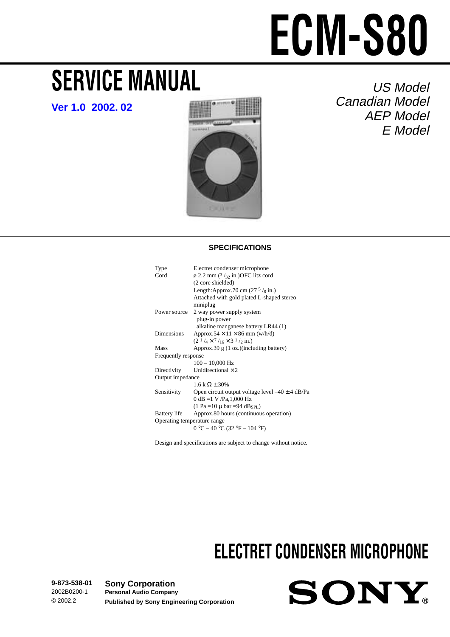# **SERVICE MANUAL**

**[Ver 1.0 2002. 02](#page-7-0)**



US Model Canadian Model AEP Model E Model

# **SPECIFICATIONS**

| Type                        | Electret condenser microphone                             |  |  |  |
|-----------------------------|-----------------------------------------------------------|--|--|--|
| Cord                        | $\varphi$ 2.2 mm ( $\frac{3}{32}$ in.)OFC litz cord       |  |  |  |
|                             | (2 core shielded)                                         |  |  |  |
|                             | Length:Approx.70 cm $(275/8$ in.)                         |  |  |  |
|                             | Attached with gold plated L-shaped stereo                 |  |  |  |
|                             | miniplug                                                  |  |  |  |
| Power source                | 2 way power supply system                                 |  |  |  |
|                             | plug-in power                                             |  |  |  |
|                             | alkaline manganese battery LR44 (1)                       |  |  |  |
| Dimensions                  | Approx.54 $\times$ 11 $\times$ 86 mm (w/h/d)              |  |  |  |
|                             | $(2^1/4 \times 7)$ <sub>16</sub> × 3 <sup>1</sup> /2 in.) |  |  |  |
| Mass                        | Approx.39 g (1 oz.)(including battery)                    |  |  |  |
| Frequently response         |                                                           |  |  |  |
|                             | $100 - 10,000$ Hz                                         |  |  |  |
| Directivity                 | Unidirectional $\times$ 2                                 |  |  |  |
| Output impedance            |                                                           |  |  |  |
|                             | $1.6 k \Omega \pm 30\%$                                   |  |  |  |
| Sensitivity                 | Open circuit output voltage level $-40 \pm 4$ dB/Pa       |  |  |  |
|                             | 0 dB =1 V /Pa, 1,000 Hz                                   |  |  |  |
|                             | $(1 Pa = 10 \mu bar = 94 dBsPL)$                          |  |  |  |
| Battery life                | Approx.80 hours (continuous operation)                    |  |  |  |
| Operating temperature range |                                                           |  |  |  |
|                             | $0 °C - 40 °C (32 °F - 104 °F)$                           |  |  |  |
|                             |                                                           |  |  |  |

Design and specifications are subject to change without notice.

# **ELECTRET CONDENSER MICROPHONE**

**9-873-538-01** 2002B0200-1 © 2002.2 **Sony Corporation Personal Audio Company Published by Sony Engineering Corporation**

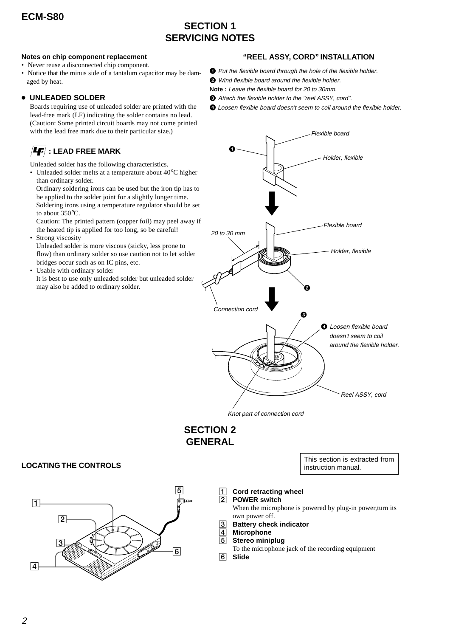# **SECTION 1 SERVICING NOTES**

## **Notes on chip component replacement**

- Never reuse a disconnected chip component.
- Notice that the minus side of a tantalum capacitor may be damaged by heat.

# <sup>z</sup> **UNLEADED SOLDER**

Boards requiring use of unleaded solder are printed with the lead-free mark (LF) indicating the solder contains no lead. (Caution: Some printed circuit boards may not come printed with the lead free mark due to their particular size.)

# $\left| \bm{4} \bm{\mathsf{F}} \right|$  : LEAD FREE MARK

Unleaded solder has the following characteristics.

• Unleaded solder melts at a temperature about 40°C higher than ordinary solder. Ordinary soldering irons can be used but the iron tip has to be applied to the solder joint for a slightly longer time.

Soldering irons using a temperature regulator should be set to about 350°C.

Caution: The printed pattern (copper foil) may peel away if the heated tip is applied for too long, so be careful!

• Strong viscosity

Unleaded solder is more viscous (sticky, less prone to flow) than ordinary solder so use caution not to let solder bridges occur such as on IC pins, etc.

• Usable with ordinary solder It is best to use only unleaded solder but unleaded solder may also be added to ordinary solder.



- $\bullet$  Put the flexible board through the hole of the flexible holder.
- <sup>2</sup> Wind flexible board around the flexible holder.
- **Note :** Leave the flexible board for 20 to 30mm.
- 3 Attach the flexible holder to the "reel ASSY, cord".
- 4 Loosen flexible board doesn't seem to coil around the flexible holder.



# **SECTION 2 GENERAL**

**LOCATING THE CONTROLS** 



 $\overline{1}$ **Cord retracting wheel**

#### 2**POWER switch**

When the microphone is powered by plug-in power,turn its own power off.

This section is extracted from

- 3**Battery check indicator**
- 4**Microphone**
- 5**Stereo miniplug**
- To the microphone jack of the recording equipment 6 **Slide**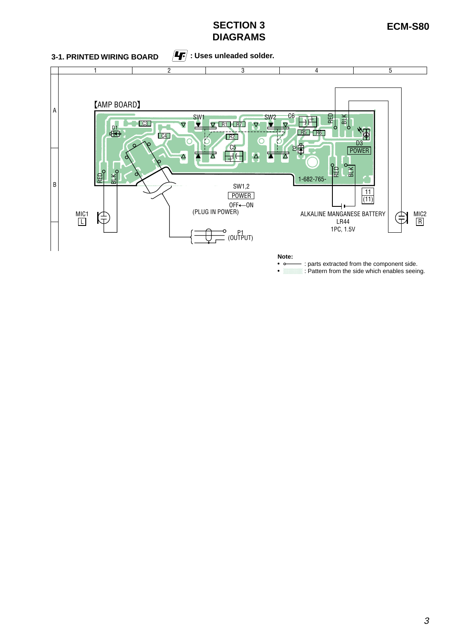# **SECTION 3 ECM-S80 DIAGRAMS**

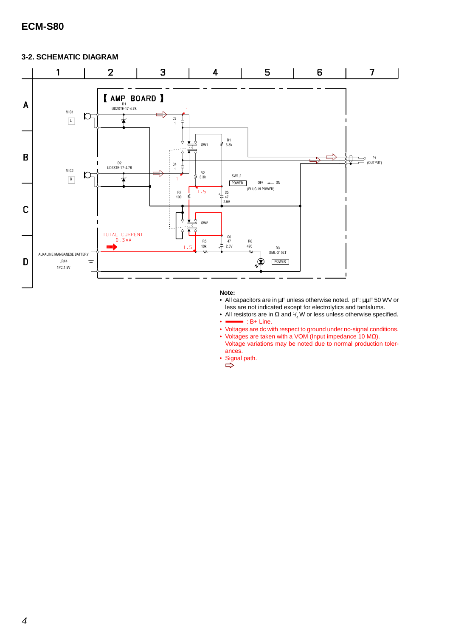# **3-2. SCHEMATIC DIAGRAM**



### **Note:**

- All capacitors are in µF unless otherwise noted. pF: µµF 50 WV or less are not indicated except for electrolytics and tantalums.
- All resistors are in  $\Omega$  and  $\frac{1}{4}W$  or less unless otherwise specified.  $\bullet$  : B+ Line.
- Voltages are dc with respect to ground under no-signal conditions.
- Voltages are taken with a VOM (Input impedance 10  $\text{M}\Omega$ ).
- Voltage variations may be noted due to normal production tolerances.
- Signal path.  $\Rightarrow$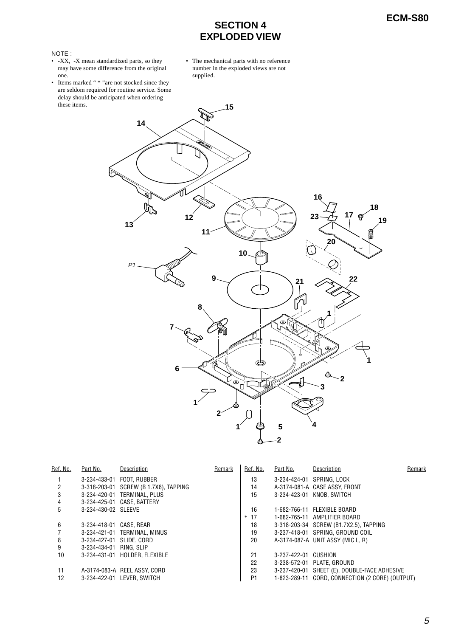# **ECM-S80 SECTION 4 EXPLODED VIEW**

### NOTE :

- -XX, -X mean standardized parts, so they may have some difference from the original one.
- Items marked " \* "are not stocked since they are seldom required for routine service. Some delay should be anticipated when ordering these items.
- The mechanical parts with no reference number in the exploded views are not supplied.



| Ref. No. | Part No.                 | Description                           | Remark | Ref. No.       | Part No.             | Description                                     | Remark |
|----------|--------------------------|---------------------------------------|--------|----------------|----------------------|-------------------------------------------------|--------|
|          |                          | 3-234-433-01 FOOT. RUBBER             |        | 13             |                      | 3-234-424-01 SPRING, LOCK                       |        |
|          |                          | 3-318-203-01 SCREW (B 1.7X6), TAPPING |        | 14             |                      | A-3174-081-A CASE ASSY, FRONT                   |        |
| 3        |                          | 3-234-420-01 TERMINAL, PLUS           |        | 15             |                      | 3-234-423-01 KNOB, SWITCH                       |        |
| 4        |                          | 3-234-425-01 CASE, BATTERY            |        |                |                      |                                                 |        |
| 5        | 3-234-430-02 SLEEVE      |                                       |        | 16             |                      | 1-682-766-11 FLEXIBLE BOARD                     |        |
|          |                          |                                       |        | $*17$          |                      | 1-682-765-11 AMPLIFIER BOARD                    |        |
| 6        | 3-234-418-01 CASE, REAR  |                                       |        | 18             |                      | 3-318-203-34 SCREW (B1.7X2.5), TAPPING          |        |
|          |                          | 3-234-421-01 TERMINAL, MINUS          |        | 19             |                      | 3-237-418-01 SPRING, GROUND COIL                |        |
| 8        | 3-234-427-01 SLIDE, CORD |                                       |        | 20             |                      | A-3174-087-A UNIT ASSY (MIC L, R)               |        |
| 9        | 3-234-434-01 RING, SLIP  |                                       |        |                |                      |                                                 |        |
| 10       |                          | 3-234-431-01 HOLDER, FLEXIBLE         |        | 21             | 3-237-422-01 CUSHION |                                                 |        |
|          |                          |                                       |        | 22             |                      | 3-238-572-01 PLATE, GROUND                      |        |
| 11       |                          | A-3174-083-A REEL ASSY, CORD          |        | 23             |                      | 3-237-420-01 SHEET (E), DOUBLE-FACE ADHESIVE    |        |
| 12       |                          | 3-234-422-01 LEVER. SWITCH            |        | P <sub>1</sub> |                      | 1-823-289-11 CORD, CONNECTION (2 CORE) (OUTPUT) |        |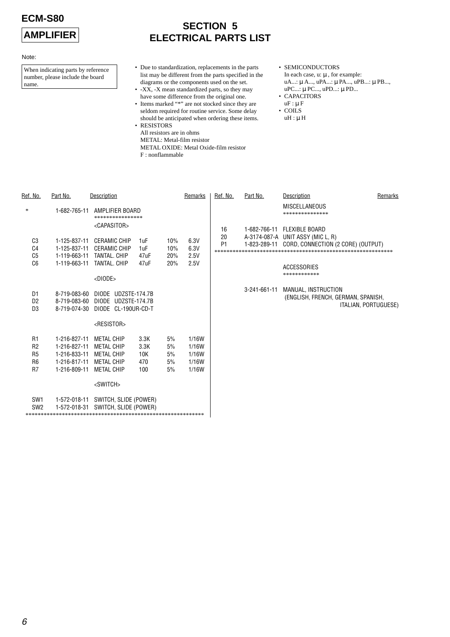Note:

# **AMPLIFIER**

# **SECTION 5 ELECTRICAL PARTS LIST**

Ref. No. Part No. Part No. 2014. Part No. 2014. Part No. 2014. Part No. 2014. Part No. 2014. Part No. 2014. Par

When indicating parts by reference number, please include the board name.

- Due to standardization, replacements in the parts list may be different from the parts specified in the diagrams or the components used on the set.
- -XX, -X mean standardized parts, so they may have some difference from the original one.
- Items marked "\*" are not stocked since they are seldom required for routine service. Some delay should be anticipated when ordering these items.
- RESISTORS All resistors are in ohms METAL: Metal-film resistor METAL OXIDE: Metal Oxide-film resistor F : nonflammable
- SEMICONDUCTORS In each case, u: µ , for example: uA...: µ A..., uPA...: µ PA..., uPB...: µ PB..., uPC...: µ PC..., uPD...: µ PD...
- CAPACITORS  $uF : \mu F$
- COILS
- $uH : \mu H$

| Ref. No.                                                                   | Part No.                                                                     | Description                                                                                    |                                   |                            | Remarks                                   | Ref. No.             | Part No.     | Description                                                                                                   | Remarks              |
|----------------------------------------------------------------------------|------------------------------------------------------------------------------|------------------------------------------------------------------------------------------------|-----------------------------------|----------------------------|-------------------------------------------|----------------------|--------------|---------------------------------------------------------------------------------------------------------------|----------------------|
| *                                                                          | 1-682-765-11                                                                 | AMPLIFIER BOARD<br>****************<br><capasitor></capasitor>                                 |                                   |                            |                                           | 16                   |              | <b>MISCELLANEOUS</b><br>***************<br>1-682-766-11 FLEXIBLE BOARD                                        |                      |
| C <sub>3</sub><br>C <sub>4</sub><br>C <sub>5</sub><br>C6                   | 1-125-837-11<br>1-125-837-11<br>1-119-663-11<br>1-119-663-11                 | <b>CERAMIC CHIP</b><br><b>CERAMIC CHIP</b><br>TANTAL, CHIP<br>TANTAL, CHIP<br>$<$ DIODE $>$    | 1uF<br>1uF<br>47uF<br>47uF        | 10%<br>10%<br>20%<br>20%   | 6.3V<br>6.3V<br>2.5V<br>2.5V              | 20<br>P <sub>1</sub> | 1-823-289-11 | A-3174-087-A UNIT ASSY (MIC L, R)<br>CORD, CONNECTION (2 CORE) (OUTPUT)<br><b>ACCESSORIES</b><br>************ |                      |
| D1<br>D <sub>2</sub><br>D <sub>3</sub>                                     | 8-719-083-60<br>8-719-083-60<br>8-719-074-30                                 | DIODE UDZSTE-174.7B<br>DIODE UDZSTE-174.7B<br>DIODE CL-190UR-CD-T                              |                                   |                            |                                           |                      | 3-241-661-11 | MANUAL, INSTRUCTION<br>(ENGLISH, FRENCH, GERMAN, SPANISH,                                                     | ITALIAN, PORTUGUESE) |
|                                                                            |                                                                              | <resistor></resistor>                                                                          |                                   |                            |                                           |                      |              |                                                                                                               |                      |
| R <sub>1</sub><br>R <sub>2</sub><br>R <sub>5</sub><br>R <sub>6</sub><br>R7 | 1-216-827-11<br>1-216-827-11<br>1-216-833-11<br>1-216-817-11<br>1-216-809-11 | <b>METAL CHIP</b><br><b>METAL CHIP</b><br><b>METAL CHIP</b><br><b>METAL CHIP</b><br>METAL CHIP | 3.3K<br>3.3K<br>10K<br>470<br>100 | 5%<br>5%<br>5%<br>5%<br>5% | 1/16W<br>1/16W<br>1/16W<br>1/16W<br>1/16W |                      |              |                                                                                                               |                      |
|                                                                            |                                                                              | <switch></switch>                                                                              |                                   |                            |                                           |                      |              |                                                                                                               |                      |
| SW <sub>1</sub><br>SW <sub>2</sub>                                         | 1-572-018-11<br>1-572-018-31                                                 | SWITCH, SLIDE (POWER)<br>SWITCH, SLIDE (POWER)                                                 |                                   |                            |                                           |                      |              |                                                                                                               |                      |